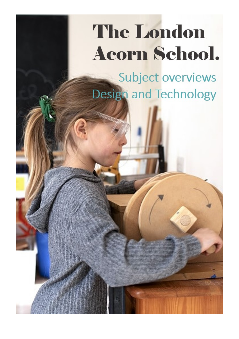## **The London Acorn School.**

Subject overviews **Design and Technology**